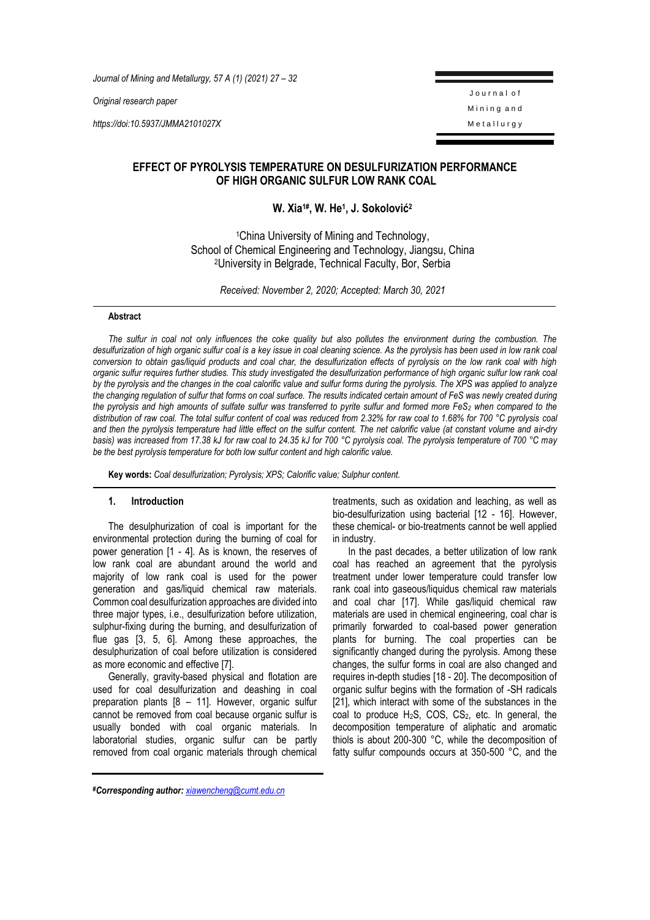*Journal of Mining and Metallurgy, 57 A (1) (2021) 27 – 32*

*Original research paper*

*https://doi:10.5937/JMMA2101027X*

J o u r n a l o f Mining and Metallurgy

# **EFFECT OF PYROLYSIS TEMPERATURE ON DESULFURIZATION PERFORMANCE OF HIGH ORGANIC SULFUR LOW RANK COAL**

# **W. Xia1# , W. He<sup>1</sup> , J. Sokolović<sup>2</sup>**

<sup>1</sup>China University of Mining and Technology, School of Chemical Engineering and Technology, Jiangsu, China <sup>2</sup>University in Belgrade, Technical Faculty, Bor, Serbia

*Received: November 2, 2020; Accepted: March 30, 2021*

### **Abstract**

*The sulfur in coal not only influences the coke quality but also pollutes the environment during the combustion. The*  desulfurization of high organic sulfur coal is a key issue in coal cleaning science. As the pyrolysis has been used in low rank coal *conversion to obtain gas/liquid products and coal char, the desulfurization effects of pyrolysis on the low rank coal with high organic sulfur requires further studies. This study investigated the desulfurization performance of high organic sulfur low rank coal by the pyrolysis and the changes in the coal calorific value and sulfur forms during the pyrolysis. The XPS was applied to analyze the changing regulation of sulfur that forms on coal surface. The results indicated certain amount of FeS was newly created during the pyrolysis and high amounts of sulfate sulfur was transferred to pyrite sulfur and formed more FeS<sup>2</sup> when compared to the distribution of raw coal. The total sulfur content of coal was reduced from 2.32% for raw coal to 1.68% for 700 °C pyrolysis coal and then the pyrolysis temperature had little effect on the sulfur content. The net calorific value (at constant volume and air-dry basis) was increased from 17.38 kJ for raw coal to 24.35 kJ for 700 °C pyrolysis coal. The pyrolysis temperature of 700 °C may be the best pyrolysis temperature for both low sulfur content and high calorific value.*

**Key words:** *Coal desulfurization; Pyrolysis; XPS; Calorific value; Sulphur content.*

#### **1. Introduction**

The desulphurization of coal is important for the environmental protection during the burning of coal for power generation [1 - 4]. As is known, the reserves of low rank coal are abundant around the world and majority of low rank coal is used for the power generation and gas/liquid chemical raw materials. Common coal desulfurization approaches are divided into three major types, i.e., desulfurization before utilization, sulphur-fixing during the burning, and desulfurization of flue gas [3, 5, 6]. Among these approaches, the desulphurization of coal before utilization is considered as more economic and effective [7].

Generally, gravity-based physical and flotation are used for coal desulfurization and deashing in coal preparation plants [8 – 11]. However, organic sulfur cannot be removed from coal because organic sulfur is usually bonded with coal organic materials. In laboratorial studies, organic sulfur can be partly removed from coal organic materials through chemical treatments, such as oxidation and leaching, as well as bio-desulfurization using bacterial [12 - 16]. However, these chemical- or bio-treatments cannot be well applied in industry.

In the past decades, a better utilization of low rank coal has reached an agreement that the pyrolysis treatment under lower temperature could transfer low rank coal into gaseous/liquidus chemical raw materials and coal char [17]. While gas/liquid chemical raw materials are used in chemical engineering, coal char is primarily forwarded to coal-based power generation plants for burning. The coal properties can be significantly changed during the pyrolysis. Among these changes, the sulfur forms in coal are also changed and requires in-depth studies [18 - 20]. The decomposition of organic sulfur begins with the formation of -SH radicals [21], which interact with some of the substances in the coal to produce  $H_2S$ , COS, CS $_2$ , etc. In general, the decomposition temperature of aliphatic and aromatic thiols is about 200-300 °C, while the decomposition of fatty sulfur compounds occurs at 350-500 °C, and the

*#Corresponding author: [xiawencheng@cumt.edu.cn](mailto:xiawencheng@cumt.edu.cn)*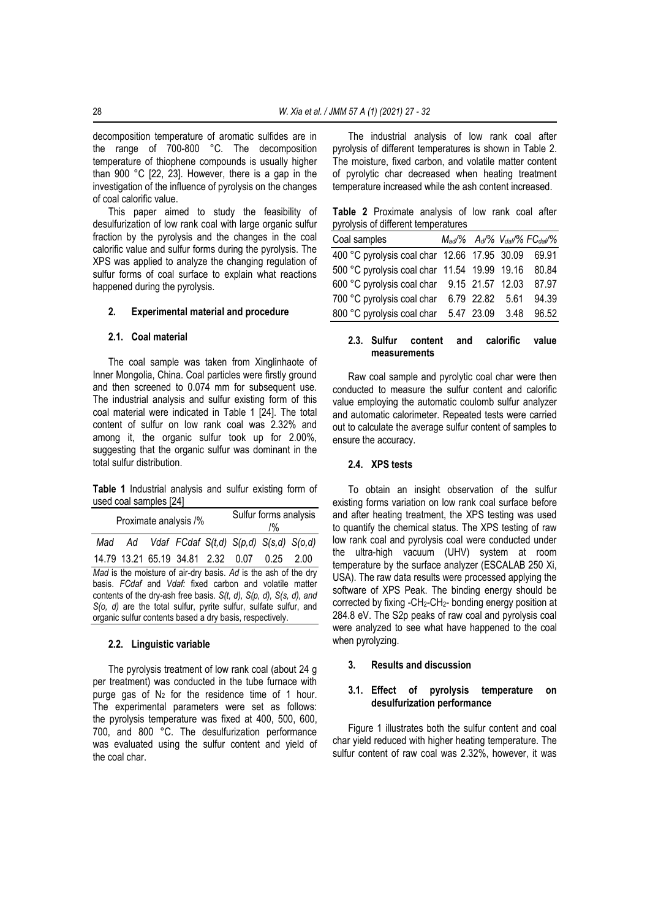decomposition temperature of aromatic sulfides are in the range of 700-800 °C. The decomposition temperature of thiophene compounds is usually higher than 900 °C [22, 23]. However, there is a gap in the investigation of the influence of pyrolysis on the changes of coal calorific value.

This paper aimed to study the feasibility of desulfurization of low rank coal with large organic sulfur fraction by the pyrolysis and the changes in the coal calorific value and sulfur forms during the pyrolysis. The XPS was applied to analyze the changing regulation of sulfur forms of coal surface to explain what reactions happened during the pyrolysis.

#### **2. Experimental material and procedure**

#### **2.1. Coal material**

The coal sample was taken from Xinglinhaote of Inner Mongolia, China. Coal particles were firstly ground and then screened to 0.074 mm for subsequent use. The industrial analysis and sulfur existing form of this coal material were indicated in Table 1 [24]. The total content of sulfur on low rank coal was 2.32% and among it, the organic sulfur took up for 2.00%, suggesting that the organic sulfur was dominant in the total sulfur distribution.

**Table 1** Industrial analysis and sulfur existing form of used coal samples [24]

| Proximate analysis /%                                                                                                                                                                                                                                                                                                                       |  |  |  | Sulfur forms analysis<br>$1\%$ |  |                                                       |  |
|---------------------------------------------------------------------------------------------------------------------------------------------------------------------------------------------------------------------------------------------------------------------------------------------------------------------------------------------|--|--|--|--------------------------------|--|-------------------------------------------------------|--|
|                                                                                                                                                                                                                                                                                                                                             |  |  |  |                                |  | Mad Ad Vdaf FCdaf $S(t,d)$ $S(p,d)$ $S(s,d)$ $S(o,d)$ |  |
|                                                                                                                                                                                                                                                                                                                                             |  |  |  |                                |  | 14.79 13.21 65.19 34.81 2.32 0.07 0.25 2.00           |  |
| Mad is the moisture of air-dry basis. Ad is the ash of the dry<br>basis. FCdaf and Vdaf: fixed carbon and volatile matter<br>contents of the dry-ash free basis. $S(t, d)$ , $S(p, d)$ , $S(s, d)$ , and<br>$S$ (o, d) are the total sulfur, pyrite sulfur, sulfate sulfur, and<br>organic sulfur contents based a dry basis, respectively. |  |  |  |                                |  |                                                       |  |

#### **2.2. Linguistic variable**

The pyrolysis treatment of low rank coal (about 24 g per treatment) was conducted in the tube furnace with purge gas of  $N_2$  for the residence time of 1 hour. The experimental parameters were set as follows: the pyrolysis temperature was fixed at 400, 500, 600, 700, and 800 °C. The desulfurization performance was evaluated using the sulfur content and yield of the coal char.

The industrial analysis of low rank coal after pyrolysis of different temperatures is shown in Table 2. The moisture, fixed carbon, and volatile matter content of pyrolytic char decreased when heating treatment temperature increased while the ash content increased.

|  | Table 2 Proximate analysis of low rank coal after |  |  |  |
|--|---------------------------------------------------|--|--|--|
|  | pyrolysis of different temperatures               |  |  |  |

| Coal samples                                     |  | Mad/% Ad/% Vdat/% FCdat/% |
|--------------------------------------------------|--|---------------------------|
| 400 °C pyrolysis coal char 12.66 17.95 30.09     |  | 69.91                     |
| 500 °C pyrolysis coal char 11.54 19.99 19.16     |  | 80.84                     |
| 600 °C pyrolysis coal char 9.15 21.57 12.03      |  | 87.97                     |
| 700 °C pyrolysis coal char 6.79 22.82 5.61       |  | 94.39                     |
| 800 °C pyrolysis coal char 5.47 23.09 3.48 96.52 |  |                           |

### **2.3. Sulfur content and calorific value measurements**

Raw coal sample and pyrolytic coal char were then conducted to measure the sulfur content and calorific value employing the automatic coulomb sulfur analyzer and automatic calorimeter. Repeated tests were carried out to calculate the average sulfur content of samples to ensure the accuracy.

## **2.4. XPS tests**

To obtain an insight observation of the sulfur existing forms variation on low rank coal surface before and after heating treatment, the XPS testing was used to quantify the chemical status. The XPS testing of raw low rank coal and pyrolysis coal were conducted under the ultra-high vacuum (UHV) system at room temperature by the surface analyzer (ESCALAB 250 Xi, USA). The raw data results were processed applying the software of XPS Peak. The binding energy should be corrected by fixing -CH2-CH2- bonding energy position at 284.8 eV. The S2p peaks of raw coal and pyrolysis coal were analyzed to see what have happened to the coal when pyrolyzing.

#### **3. Results and discussion**

#### **3.1. Effect of pyrolysis temperature on desulfurization performance**

Figure 1 illustrates both the sulfur content and coal char yield reduced with higher heating temperature. The sulfur content of raw coal was 2.32%, however, it was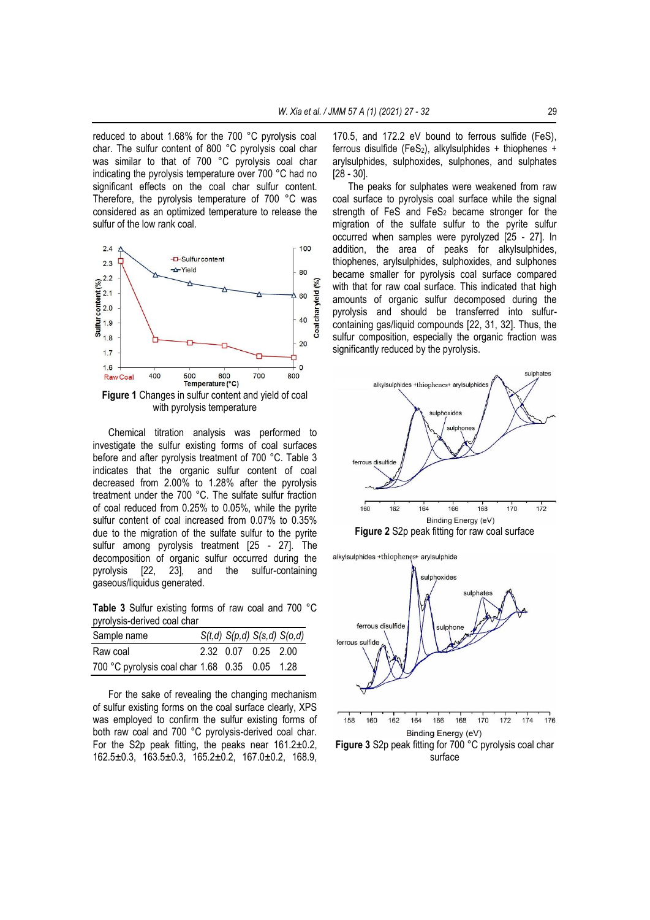reduced to about 1.68% for the 700 °C pyrolysis coal char. The sulfur content of 800 °C pyrolysis coal char was similar to that of 700 °C pyrolysis coal char indicating the pyrolysis temperature over 700 °C had no significant effects on the coal char sulfur content. Therefore, the pyrolysis temperature of 700 °C was considered as an optimized temperature to release the sulfur of the low rank coal.



**Figure 1** Changes in sulfur content and yield of coal with pyrolysis temperature

Chemical titration analysis was performed to investigate the sulfur existing forms of coal surfaces before and after pyrolysis treatment of 700 °C. Table 3 indicates that the organic sulfur content of coal decreased from 2.00% to 1.28% after the pyrolysis treatment under the 700 °C. The sulfate sulfur fraction of coal reduced from 0.25% to 0.05%, while the pyrite sulfur content of coal increased from 0.07% to 0.35% due to the migration of the sulfate sulfur to the pyrite sulfur among pyrolysis treatment [25 - 27]. The decomposition of organic sulfur occurred during the pyrolysis [22, 23], and the sulfur-containing gaseous/liquidus generated.

**Table 3** Sulfur existing forms of raw coal and 700 °C pyrolysis-derived coal char

| Sample name                                    |                     | $S(t,d)$ $S(p,d)$ $S(s,d)$ $S(o,d)$ |
|------------------------------------------------|---------------------|-------------------------------------|
| Raw coal                                       | 2.32 0.07 0.25 2.00 |                                     |
| 700 °C pyrolysis coal char 1.68 0.35 0.05 1.28 |                     |                                     |

For the sake of revealing the changing mechanism of sulfur existing forms on the coal surface clearly, XPS was employed to confirm the sulfur existing forms of both raw coal and 700 °C pyrolysis-derived coal char. For the S2p peak fitting, the peaks near  $161.2 \pm 0.2$ , 162.5±0.3, 163.5±0.3, 165.2±0.2, 167.0±0.2, 168.9,

170.5, and 172.2 eV bound to ferrous sulfide (FeS), ferrous disulfide (FeS<sub>2</sub>), alkylsulphides + thiophenes + arylsulphides, sulphoxides, sulphones, and sulphates [28 - 30].

The peaks for sulphates were weakened from raw coal surface to pyrolysis coal surface while the signal strength of FeS and FeS<sub>2</sub> became stronger for the migration of the sulfate sulfur to the pyrite sulfur occurred when samples were pyrolyzed [25 - 27]. In addition, the area of peaks for alkylsulphides, thiophenes, arylsulphides, sulphoxides, and sulphones became smaller for pyrolysis coal surface compared with that for raw coal surface. This indicated that high amounts of organic sulfur decomposed during the pyrolysis and should be transferred into sulfurcontaining gas/liquid compounds [22, 31, 32]. Thus, the sulfur composition, especially the organic fraction was significantly reduced by the pyrolysis.



**Figure 2** S2p peak fitting for raw coal surface

alkylsulphides +thiophenes+ arylsulphide



**Figure 3** S2p peak fitting for 700 °C pyrolysis coal char surface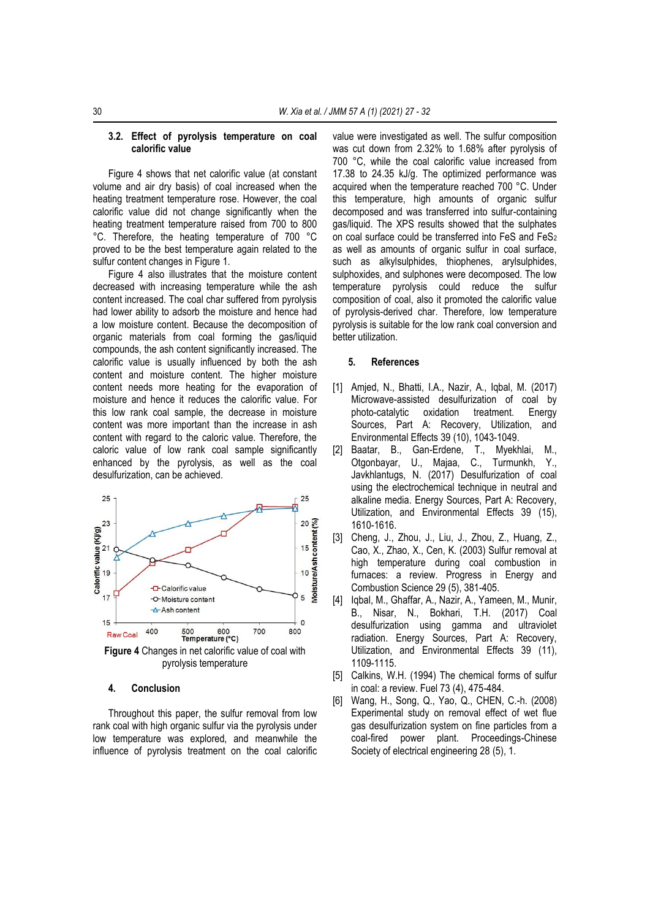#### **3.2. Effect of pyrolysis temperature on coal calorific value**

Figure 4 shows that net calorific value (at constant volume and air dry basis) of coal increased when the heating treatment temperature rose. However, the coal calorific value did not change significantly when the heating treatment temperature raised from 700 to 800 °C. Therefore, the heating temperature of 700 °C proved to be the best temperature again related to the sulfur content changes in Figure 1.

Figure 4 also illustrates that the moisture content decreased with increasing temperature while the ash content increased. The coal char suffered from pyrolysis had lower ability to adsorb the moisture and hence had a low moisture content. Because the decomposition of organic materials from coal forming the gas/liquid compounds, the ash content significantly increased. The calorific value is usually influenced by both the ash content and moisture content. The higher moisture content needs more heating for the evaporation of moisture and hence it reduces the calorific value. For this low rank coal sample, the decrease in moisture content was more important than the increase in ash content with regard to the caloric value. Therefore, the caloric value of low rank coal sample significantly enhanced by the pyrolysis, as well as the coal desulfurization, can be achieved.



# **4. Conclusion**

Throughout this paper, the sulfur removal from low rank coal with high organic sulfur via the pyrolysis under low temperature was explored, and meanwhile the influence of pyrolysis treatment on the coal calorific value were investigated as well. The sulfur composition was cut down from 2.32% to 1.68% after pyrolysis of 700 °C, while the coal calorific value increased from 17.38 to 24.35 kJ/g. The optimized performance was acquired when the temperature reached 700 °C. Under this temperature, high amounts of organic sulfur decomposed and was transferred into sulfur-containing gas/liquid. The XPS results showed that the sulphates on coal surface could be transferred into FeS and FeS<sup>2</sup> as well as amounts of organic sulfur in coal surface, such as alkylsulphides, thiophenes, arylsulphides, sulphoxides, and sulphones were decomposed. The low temperature pyrolysis could reduce the sulfur composition of coal, also it promoted the calorific value of pyrolysis-derived char. Therefore, low temperature pyrolysis is suitable for the low rank coal conversion and better utilization.

#### **5. References**

- [1] Amjed, N., Bhatti, I.A., Nazir, A., Iqbal, M. (2017) Microwave-assisted desulfurization of coal by photo-catalytic oxidation treatment. Energy Sources, Part A: Recovery, Utilization, and Environmental Effects 39 (10), 1043-1049.
- [2] Baatar, B., Gan-Erdene, T., Myekhlai, M., Otgonbayar, U., Majaa, C., Turmunkh, Y., Javkhlantugs, N. (2017) Desulfurization of coal using the electrochemical technique in neutral and alkaline media. Energy Sources, Part A: Recovery, Utilization, and Environmental Effects 39 (15), 1610-1616.
- [3] Cheng, J., Zhou, J., Liu, J., Zhou, Z., Huang, Z., Cao, X., Zhao, X., Cen, K. (2003) Sulfur removal at high temperature during coal combustion in furnaces: a review. Progress in Energy and Combustion Science 29 (5), 381-405.
- [4] Iqbal, M., Ghaffar, A., Nazir, A., Yameen, M., Munir, B., Nisar, N., Bokhari, T.H. (2017) Coal desulfurization using gamma and ultraviolet radiation. Energy Sources, Part A: Recovery, Utilization, and Environmental Effects 39 (11), 1109-1115.
- [5] Calkins, W.H. (1994) The chemical forms of sulfur in coal: a review. Fuel 73 (4), 475-484.
- [6] Wang, H., Song, Q., Yao, Q., CHEN, C.-h. (2008) Experimental study on removal effect of wet flue gas desulfurization system on fine particles from a coal-fired power plant. Proceedings-Chinese Society of electrical engineering 28 (5), 1.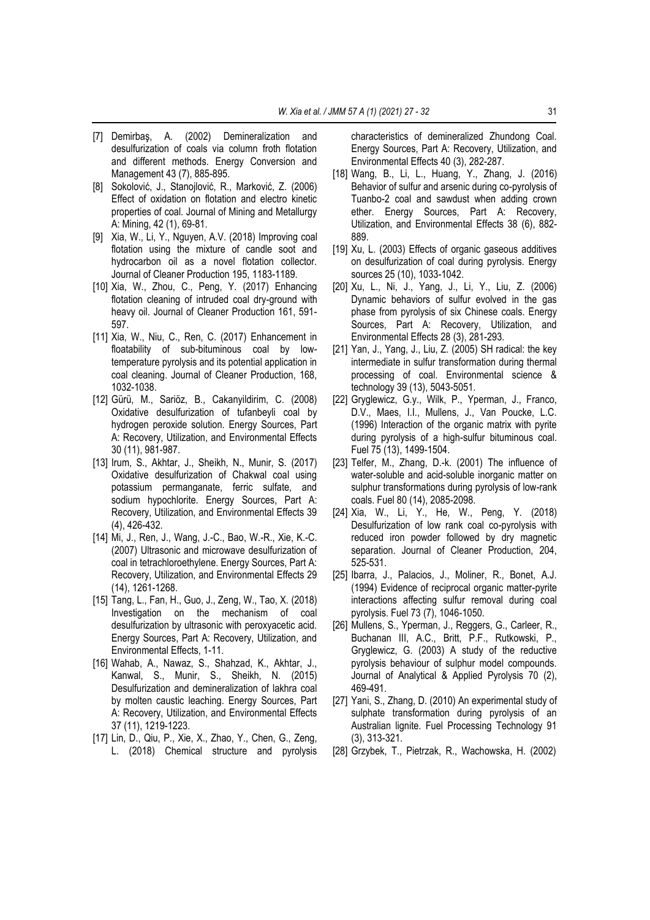- [7] Demirbaş, A. (2002) Demineralization and desulfurization of coals via column froth flotation and different methods. Energy Conversion and Management 43 (7), 885-895.
- [8] Sokolović, J., Stanojlović, R., Marković, Z. (2006) Effect of oxidation on flotation and electro kinetic properties of coal. Journal of Mining and Metallurgy A: Mining, 42 (1), 69-81.
- [9] Xia, W., Li, Y., Nguyen, A.V. (2018) Improving coal flotation using the mixture of candle soot and hydrocarbon oil as a novel flotation collector. Journal of Cleaner Production 195, 1183-1189.
- [10] Xia, W., Zhou, C., Peng, Y. (2017) Enhancing flotation cleaning of intruded coal dry-ground with heavy oil. Journal of Cleaner Production 161, 591- 597.
- [11] Xia, W., Niu, C., Ren, C. (2017) Enhancement in floatability of sub-bituminous coal by lowtemperature pyrolysis and its potential application in coal cleaning. Journal of Cleaner Production, 168, 1032-1038.
- [12] Gürü, M., Sariöz, B., Cakanyildirim, C. (2008) Oxidative desulfurization of tufanbeyli coal by hydrogen peroxide solution. Energy Sources, Part A: Recovery, Utilization, and Environmental Effects 30 (11), 981-987.
- [13] Irum, S., Akhtar, J., Sheikh, N., Munir, S. (2017) Oxidative desulfurization of Chakwal coal using potassium permanganate, ferric sulfate, and sodium hypochlorite. Energy Sources, Part A: Recovery, Utilization, and Environmental Effects 39 (4), 426-432.
- [14] Mi, J., Ren, J., Wang, J.-C., Bao, W.-R., Xie, K.-C. (2007) Ultrasonic and microwave desulfurization of coal in tetrachloroethylene. Energy Sources, Part A: Recovery, Utilization, and Environmental Effects 29 (14), 1261-1268.
- [15] Tang, L., Fan, H., Guo, J., Zeng, W., Tao, X. (2018) Investigation on the mechanism of coal desulfurization by ultrasonic with peroxyacetic acid. Energy Sources, Part A: Recovery, Utilization, and Environmental Effects, 1-11.
- [16] Wahab, A., Nawaz, S., Shahzad, K., Akhtar, J., Kanwal, S., Munir, S., Sheikh, N. (2015) Desulfurization and demineralization of lakhra coal by molten caustic leaching. Energy Sources, Part A: Recovery, Utilization, and Environmental Effects 37 (11), 1219-1223.
- [17] Lin, D., Qiu, P., Xie, X., Zhao, Y., Chen, G., Zeng, L. (2018) Chemical structure and pyrolysis

characteristics of demineralized Zhundong Coal. Energy Sources, Part A: Recovery, Utilization, and Environmental Effects 40 (3), 282-287.

- [18] Wang, B., Li, L., Huang, Y., Zhang, J. (2016) Behavior of sulfur and arsenic during co-pyrolysis of Tuanbo-2 coal and sawdust when adding crown ether. Energy Sources, Part A: Recovery, Utilization, and Environmental Effects 38 (6), 882- 889.
- [19] Xu, L. (2003) Effects of organic gaseous additives on desulfurization of coal during pyrolysis. Energy sources 25 (10), 1033-1042.
- [20] Xu, L., Ni, J., Yang, J., Li, Y., Liu, Z. (2006) Dynamic behaviors of sulfur evolved in the gas phase from pyrolysis of six Chinese coals. Energy Sources, Part A: Recovery, Utilization, and Environmental Effects 28 (3), 281-293.
- [21] Yan, J., Yang, J., Liu, Z. (2005) SH radical: the key intermediate in sulfur transformation during thermal processing of coal. Environmental science & technology 39 (13), 5043-5051.
- [22] Gryglewicz, G.y., Wilk, P., Yperman, J., Franco, D.V., Maes, I.I., Mullens, J., Van Poucke, L.C. (1996) Interaction of the organic matrix with pyrite during pyrolysis of a high-sulfur bituminous coal. Fuel 75 (13), 1499-1504.
- [23] Telfer, M., Zhang, D.-k. (2001) The influence of water-soluble and acid-soluble inorganic matter on sulphur transformations during pyrolysis of low-rank coals. Fuel 80 (14), 2085-2098.
- [24] Xia, W., Li, Y., He, W., Peng, Y. (2018) Desulfurization of low rank coal co-pyrolysis with reduced iron powder followed by dry magnetic separation. Journal of Cleaner Production, 204, 525-531.
- [25] Ibarra, J., Palacios, J., Moliner, R., Bonet, A.J. (1994) Evidence of reciprocal organic matter-pyrite interactions affecting sulfur removal during coal pyrolysis. Fuel 73 (7), 1046-1050.
- [26] Mullens, S., Yperman, J., Reggers, G., Carleer, R., Buchanan III, A.C., Britt, P.F., Rutkowski, P., Gryglewicz, G. (2003) A study of the reductive pyrolysis behaviour of sulphur model compounds. Journal of Analytical & Applied Pyrolysis 70 (2), 469-491.
- [27] Yani, S., Zhang, D. (2010) An experimental study of sulphate transformation during pyrolysis of an Australian lignite. Fuel Processing Technology 91 (3), 313-321.
- [28] Grzybek, T., Pietrzak, R., Wachowska, H. (2002)